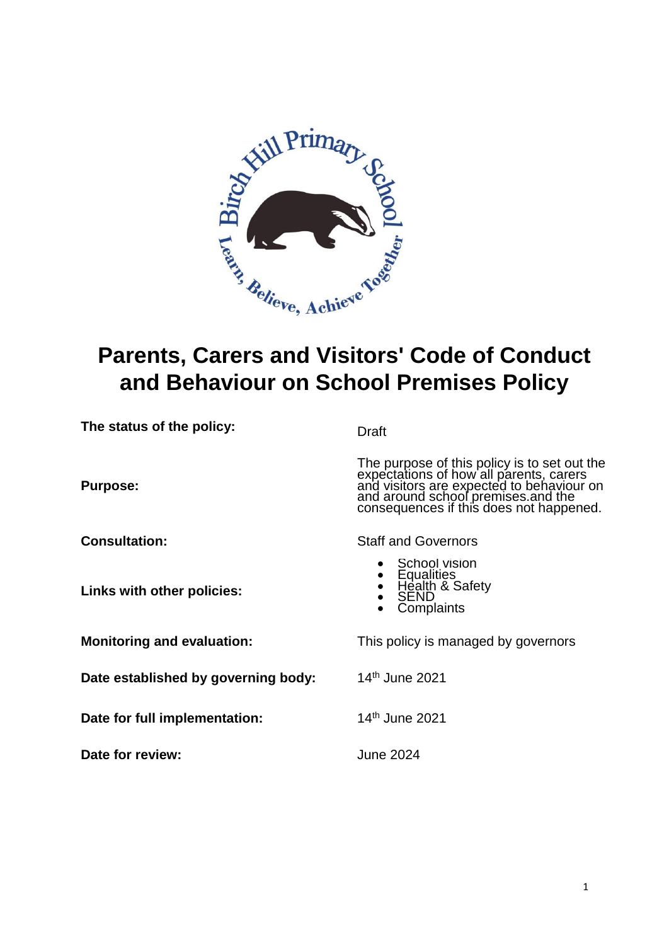

# **Parents, Carers and Visitors' Code of Conduct and Behaviour on School Premises Policy**

| The status of the policy:           | Draft                                                                                                                                                                                                                 |
|-------------------------------------|-----------------------------------------------------------------------------------------------------------------------------------------------------------------------------------------------------------------------|
| <b>Purpose:</b>                     | The purpose of this policy is to set out the<br>expectations of how all parents, carers<br>and visitors are expected to behaviour on<br>and around school premises and the<br>consequences if this does not happened. |
| <b>Consultation:</b>                | <b>Staff and Governors</b>                                                                                                                                                                                            |
| Links with other policies:          | School vision<br><b>Equalities</b><br>Health & Safety<br><b>SEND</b><br>Complaints                                                                                                                                    |
| <b>Monitoring and evaluation:</b>   | This policy is managed by governors                                                                                                                                                                                   |
| Date established by governing body: | 14 <sup>th</sup> June 2021                                                                                                                                                                                            |
| Date for full implementation:       | 14 <sup>th</sup> June 2021                                                                                                                                                                                            |
| Date for review:                    | June 2024                                                                                                                                                                                                             |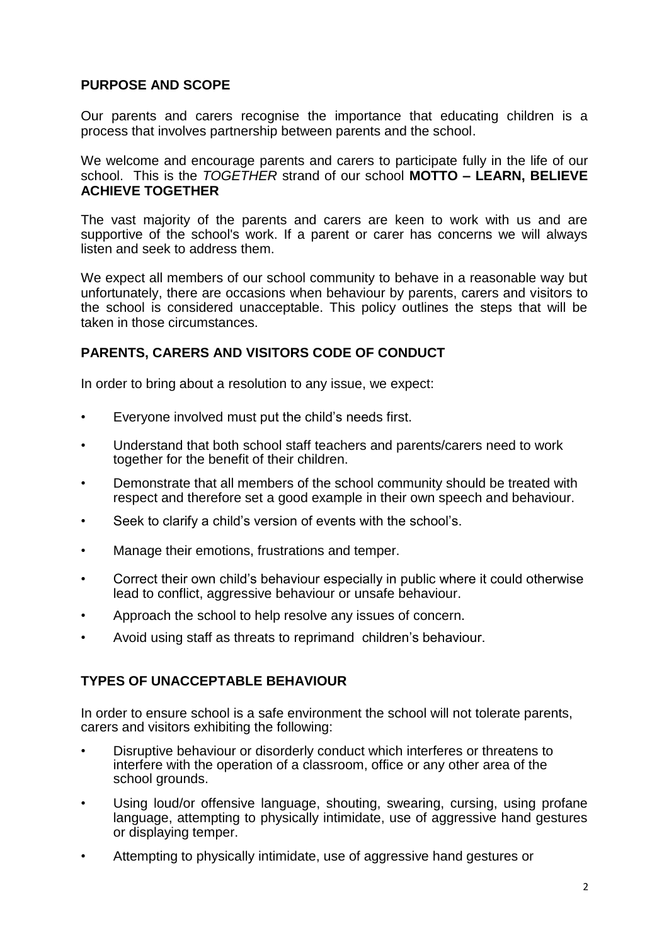# **PURPOSE AND SCOPE**

Our parents and carers recognise the importance that educating children is a process that involves partnership between parents and the school.

We welcome and encourage parents and carers to participate fully in the life of our school. This is the *TOGETHER* strand of our school **MOTTO – LEARN, BELIEVE ACHIEVE TOGETHER** 

The vast majority of the parents and carers are keen to work with us and are supportive of the school's work. If a parent or carer has concerns we will always listen and seek to address them.

We expect all members of our school community to behave in a reasonable way but unfortunately, there are occasions when behaviour by parents, carers and visitors to the school is considered unacceptable. This policy outlines the steps that will be taken in those circumstances.

## **PARENTS, CARERS AND VISITORS CODE OF CONDUCT**

In order to bring about a resolution to any issue, we expect:

- Everyone involved must put the child's needs first.
- Understand that both school staff teachers and parents/carers need to work together for the benefit of their children.
- Demonstrate that all members of the school community should be treated with respect and therefore set a good example in their own speech and behaviour.
- Seek to clarify a child's version of events with the school's.
- Manage their emotions, frustrations and temper.
- Correct their own child's behaviour especially in public where it could otherwise lead to conflict, aggressive behaviour or unsafe behaviour.
- Approach the school to help resolve any issues of concern.
- Avoid using staff as threats to reprimand children's behaviour.

# **TYPES OF UNACCEPTABLE BEHAVIOUR**

In order to ensure school is a safe environment the school will not tolerate parents, carers and visitors exhibiting the following:

- Disruptive behaviour or disorderly conduct which interferes or threatens to interfere with the operation of a classroom, office or any other area of the school grounds.
- Using loud/or offensive language, shouting, swearing, cursing, using profane language, attempting to physically intimidate, use of aggressive hand gestures or displaying temper.
- Attempting to physically intimidate, use of aggressive hand gestures or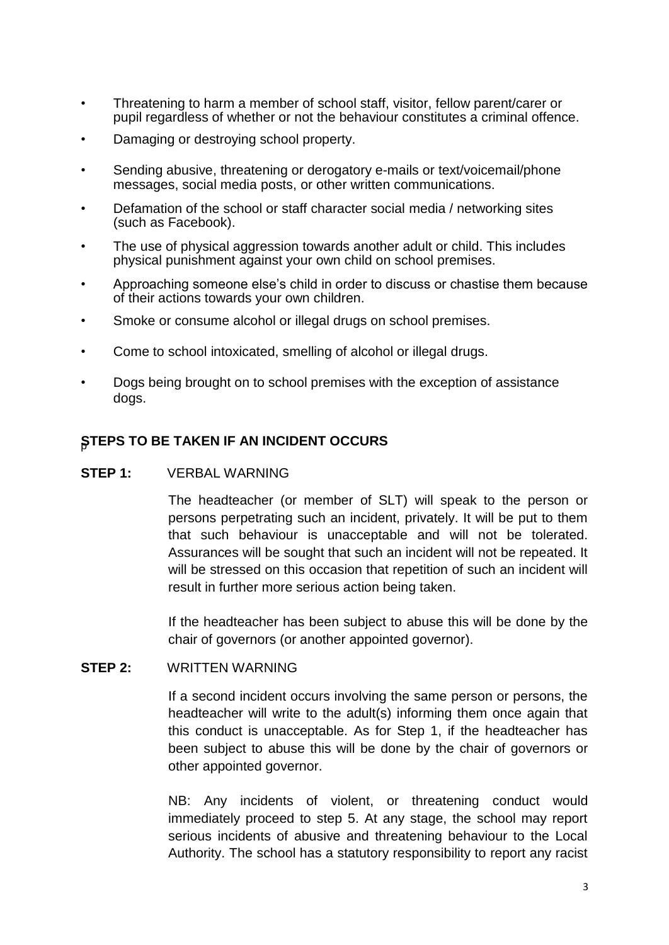- Threatening to harm a member of school staff, visitor, fellow parent/carer or pupil regardless of whether or not the behaviour constitutes a criminal offence.
- Damaging or destroying school property.
- Sending abusive, threatening or derogatory e-mails or text/voicemail/phone messages, social media posts, or other written communications.
- Defamation of the school or staff character social media / networking sites (such as Facebook).
- The use of physical aggression towards another adult or child. This includes physical punishment against your own child on school premises.
- Approaching someone else's child in order to discuss or chastise them because of their actions towards your own children.
- Smoke or consume alcohol or illegal drugs on school premises.
- Come to school intoxicated, smelling of alcohol or illegal drugs.
- Dogs being brought on to school premises with the exception of assistance dogs.

#### **STEPS TO BE TAKEN IF AN INCIDENT OCCURS**

#### **STEP 1:** VERBAL WARNING

The headteacher (or member of SLT) will speak to the person or persons perpetrating such an incident, privately. It will be put to them that such behaviour is unacceptable and will not be tolerated. Assurances will be sought that such an incident will not be repeated. It will be stressed on this occasion that repetition of such an incident will result in further more serious action being taken.

If the headteacher has been subject to abuse this will be done by the chair of governors (or another appointed governor).

#### **STEP 2:** WRITTEN WARNING

If a second incident occurs involving the same person or persons, the headteacher will write to the adult(s) informing them once again that this conduct is unacceptable. As for Step 1, if the headteacher has been subject to abuse this will be done by the chair of governors or other appointed governor.

NB: Any incidents of violent, or threatening conduct would immediately proceed to step 5. At any stage, the school may report serious incidents of abusive and threatening behaviour to the Local Authority. The school has a statutory responsibility to report any racist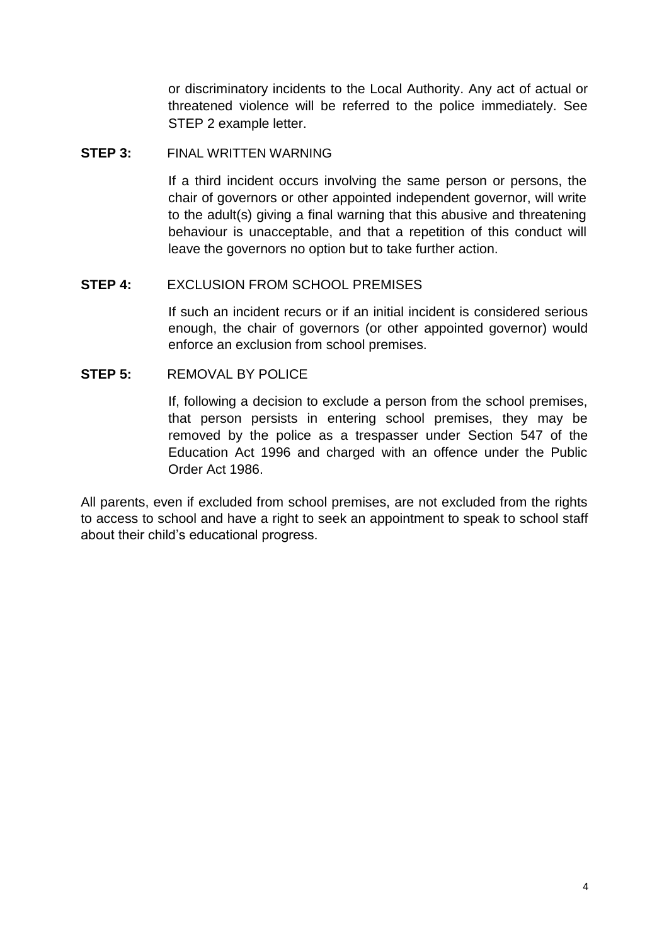or discriminatory incidents to the Local Authority. Any act of actual or threatened violence will be referred to the police immediately. See STEP 2 example letter.

#### **STEP 3:** FINAL WRITTEN WARNING

If a third incident occurs involving the same person or persons, the chair of governors or other appointed independent governor, will write to the adult(s) giving a final warning that this abusive and threatening behaviour is unacceptable, and that a repetition of this conduct will leave the governors no option but to take further action.

#### **STEP 4:** EXCLUSION FROM SCHOOL PREMISES

If such an incident recurs or if an initial incident is considered serious enough, the chair of governors (or other appointed governor) would enforce an exclusion from school premises.

#### **STEP 5:** REMOVAL BY POLICE

If, following a decision to exclude a person from the school premises, that person persists in entering school premises, they may be removed by the police as a trespasser under Section 547 of the Education Act 1996 and charged with an offence under the Public Order Act 1986.

All parents, even if excluded from school premises, are not excluded from the rights to access to school and have a right to seek an appointment to speak to school staff about their child's educational progress.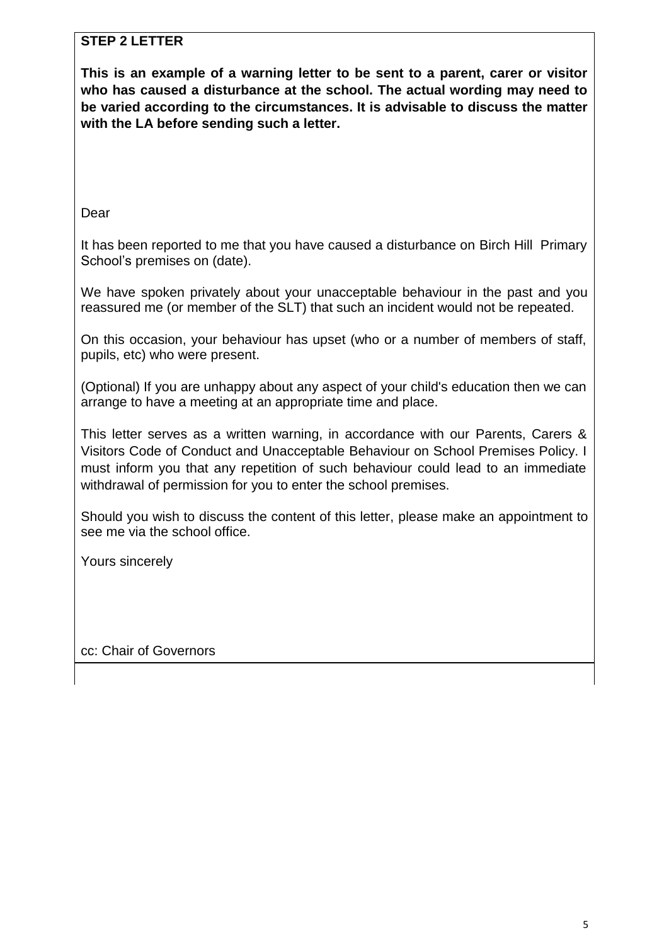# **STEP 2 LETTER**

**This is an example of a warning letter to be sent to a parent, carer or visitor who has caused a disturbance at the school. The actual wording may need to be varied according to the circumstances. It is advisable to discuss the matter with the LA before sending such a letter.**

Dear

It has been reported to me that you have caused a disturbance on Birch Hill Primary School's premises on (date).

We have spoken privately about your unacceptable behaviour in the past and you reassured me (or member of the SLT) that such an incident would not be repeated.

On this occasion, your behaviour has upset (who or a number of members of staff, pupils, etc) who were present.

(Optional) If you are unhappy about any aspect of your child's education then we can arrange to have a meeting at an appropriate time and place.

This letter serves as a written warning, in accordance with our Parents, Carers & Visitors Code of Conduct and Unacceptable Behaviour on School Premises Policy. I must inform you that any repetition of such behaviour could lead to an immediate withdrawal of permission for you to enter the school premises.

Should you wish to discuss the content of this letter, please make an appointment to see me via the school office.

Yours sincerely

cc: Chair of Governors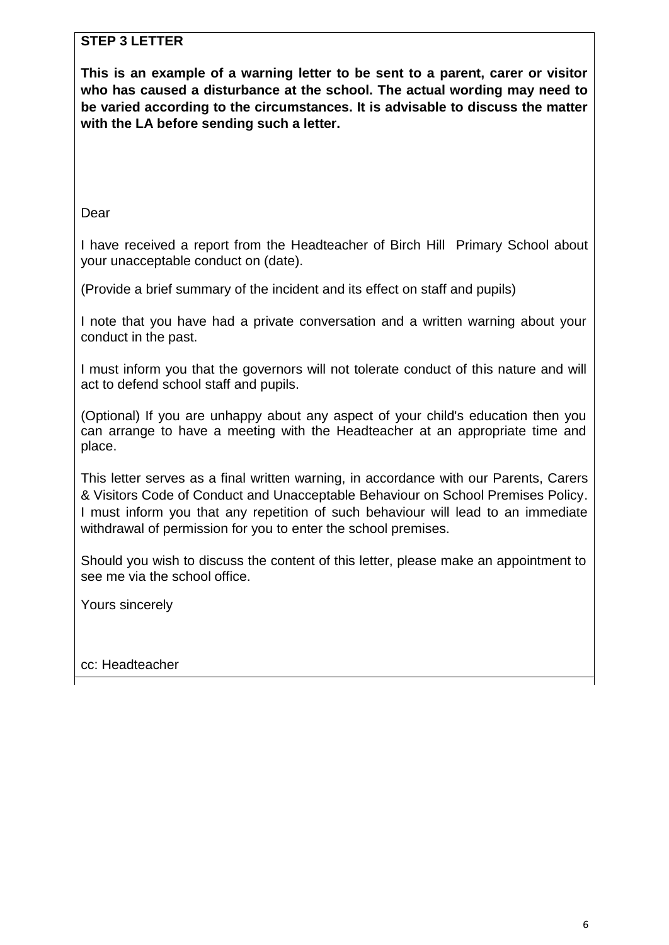# **STEP 3 LETTER**

**This is an example of a warning letter to be sent to a parent, carer or visitor who has caused a disturbance at the school. The actual wording may need to be varied according to the circumstances. It is advisable to discuss the matter with the LA before sending such a letter.**

Dear

I have received a report from the Headteacher of Birch Hill Primary School about your unacceptable conduct on (date).

(Provide a brief summary of the incident and its effect on staff and pupils)

I note that you have had a private conversation and a written warning about your conduct in the past.

I must inform you that the governors will not tolerate conduct of this nature and will act to defend school staff and pupils.

(Optional) If you are unhappy about any aspect of your child's education then you can arrange to have a meeting with the Headteacher at an appropriate time and place.

This letter serves as a final written warning, in accordance with our Parents, Carers & Visitors Code of Conduct and Unacceptable Behaviour on School Premises Policy. I must inform you that any repetition of such behaviour will lead to an immediate withdrawal of permission for you to enter the school premises.

Should you wish to discuss the content of this letter, please make an appointment to see me via the school office.

Yours sincerely

cc: Headteacher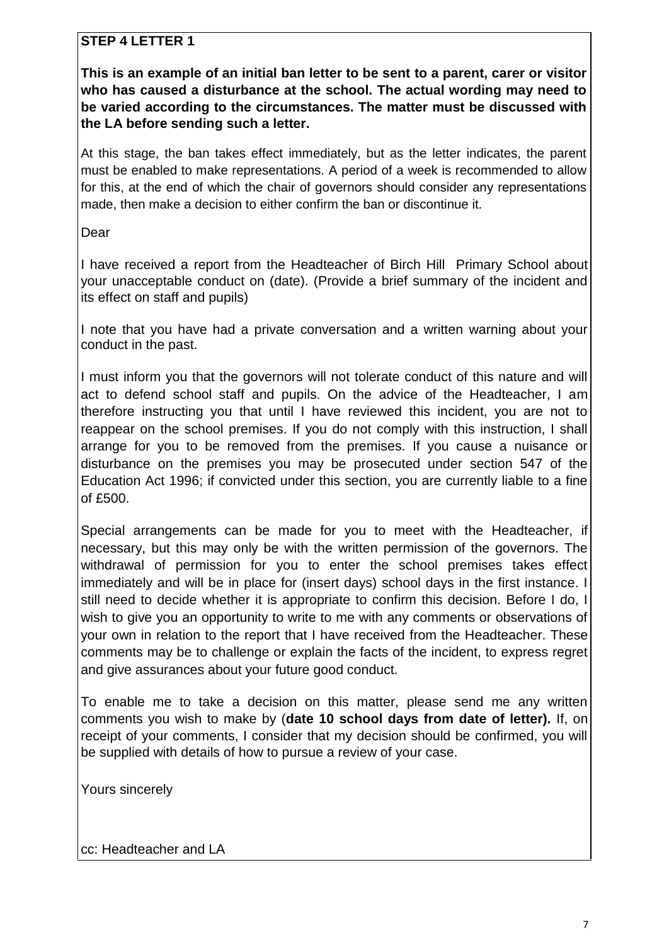# **STEP 4 LETTER 1**

**This is an example of an initial ban letter to be sent to a parent, carer or visitor who has caused a disturbance at the school. The actual wording may need to be varied according to the circumstances. The matter must be discussed with the LA before sending such a letter.**

At this stage, the ban takes effect immediately, but as the letter indicates, the parent must be enabled to make representations. A period of a week is recommended to allow for this, at the end of which the chair of governors should consider any representations made, then make a decision to either confirm the ban or discontinue it.

Dear

I have received a report from the Headteacher of Birch Hill Primary School about your unacceptable conduct on (date). (Provide a brief summary of the incident and its effect on staff and pupils)

I note that you have had a private conversation and a written warning about your conduct in the past.

I must inform you that the governors will not tolerate conduct of this nature and will act to defend school staff and pupils. On the advice of the Headteacher, I am therefore instructing you that until I have reviewed this incident, you are not to reappear on the school premises. If you do not comply with this instruction, I shall arrange for you to be removed from the premises. If you cause a nuisance or disturbance on the premises you may be prosecuted under section 547 of the Education Act 1996; if convicted under this section, you are currently liable to a fine of £500.

Special arrangements can be made for you to meet with the Headteacher, if necessary, but this may only be with the written permission of the governors. The withdrawal of permission for you to enter the school premises takes effect immediately and will be in place for (insert days) school days in the first instance. I still need to decide whether it is appropriate to confirm this decision. Before I do, I wish to give you an opportunity to write to me with any comments or observations of your own in relation to the report that I have received from the Headteacher. These comments may be to challenge or explain the facts of the incident, to express regret and give assurances about your future good conduct.

To enable me to take a decision on this matter, please send me any written comments you wish to make by (**date 10 school days from date of letter).** If, on receipt of your comments, I consider that my decision should be confirmed, you will be supplied with details of how to pursue a review of your case.

Yours sincerely

cc: Headteacher and LA